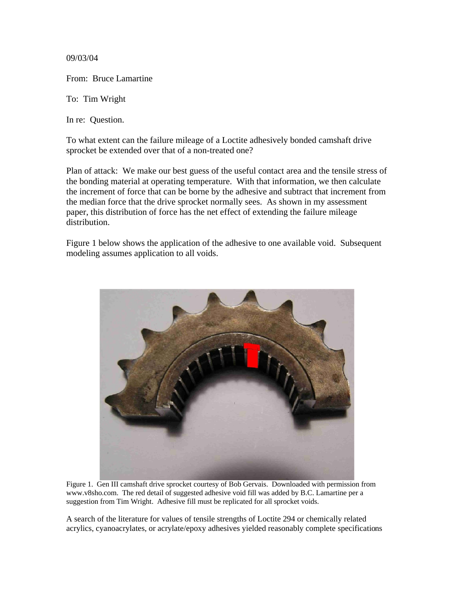09/03/04

From: Bruce Lamartine

To: Tim Wright

In re: Question.

To what extent can the failure mileage of a Loctite adhesively bonded camshaft drive sprocket be extended over that of a non-treated one?

Plan of attack: We make our best guess of the useful contact area and the tensile stress of the bonding material at operating temperature. With that information, we then calculate the increment of force that can be borne by the adhesive and subtract that increment from the median force that the drive sprocket normally sees. As shown in my assessment paper, this distribution of force has the net effect of extending the failure mileage distribution.

Figure 1 below shows the application of the adhesive to one available void. Subsequent modeling assumes application to all voids.



Figure 1. Gen III camshaft drive sprocket courtesy of Bob Gervais. Downloaded with permission from www.v8sho.com. The red detail of suggested adhesive void fill was added by B.C. Lamartine per a suggestion from Tim Wright. Adhesive fill must be replicated for all sprocket voids.

A search of the literature for values of tensile strengths of Loctite 294 or chemically related acrylics, cyanoacrylates, or acrylate/epoxy adhesives yielded reasonably complete specifications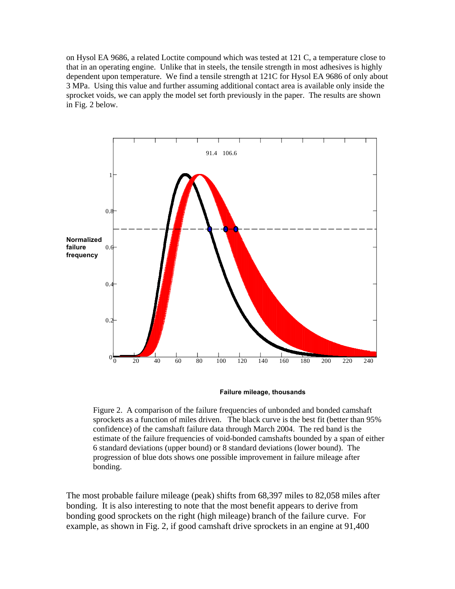on Hysol EA 9686, a related Loctite compound which was tested at 121 C, a temperature close to that in an operating engine. Unlike that in steels, the tensile strength in most adhesives is highly dependent upon temperature. We find a tensile strength at 121C for Hysol EA 9686 of only about 3 MPa. Using this value and further assuming additional contact area is available only inside the sprocket voids, we can apply the model set forth previously in the paper. The results are shown in Fig. 2 below.



**Failure mileage, thousands**

Figure 2. A comparison of the failure frequencies of unbonded and bonded camshaft sprockets as a function of miles driven. The black curve is the best fit (better than 95% confidence) of the camshaft failure data through March 2004. The red band is the estimate of the failure frequencies of void-bonded camshafts bounded by a span of either 6 standard deviations (upper bound) or 8 standard deviations (lower bound). The progression of blue dots shows one possible improvement in failure mileage after bonding.

The most probable failure mileage (peak) shifts from 68,397 miles to 82,058 miles after bonding. It is also interesting to note that the most benefit appears to derive from bonding good sprockets on the right (high mileage) branch of the failure curve. For example, as shown in Fig. 2, if good camshaft drive sprockets in an engine at 91,400